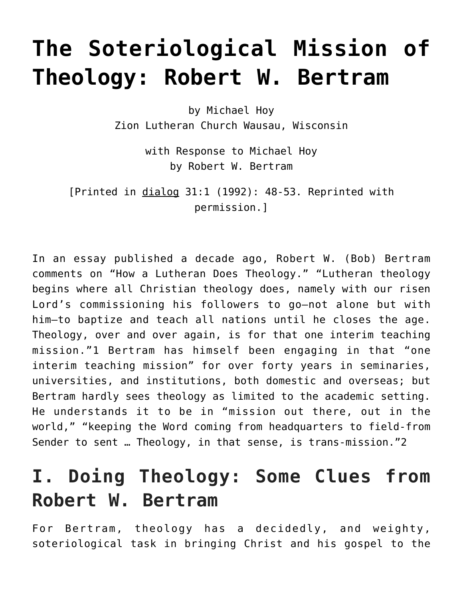# **[The Soteriological Mission of](https://crossings.org/soteriological-mission-of-theology/) [Theology: Robert W. Bertram](https://crossings.org/soteriological-mission-of-theology/)**

by Michael Hoy Zion Lutheran Church Wausau, Wisconsin

> with Response to Michael Hoy by Robert W. Bertram

[Printed in dialog 31:1 (1992): 48-53. Reprinted with permission.]

In an essay published a decade ago, Robert W. (Bob) Bertram comments on "How a Lutheran Does Theology." "Lutheran theology begins where all Christian theology does, namely with our risen Lord's commissioning his followers to go—not alone but with him—to baptize and teach all nations until he closes the age. Theology, over and over again, is for that one interim teaching mission."1 Bertram has himself been engaging in that "one interim teaching mission" for over forty years in seminaries, universities, and institutions, both domestic and overseas; but Bertram hardly sees theology as limited to the academic setting. He understands it to be in "mission out there, out in the world," "keeping the Word coming from headquarters to field-from Sender to sent … Theology, in that sense, is trans-mission."2

# **I. Doing Theology: Some Clues from Robert W. Bertram**

For Bertram, theology has a decidedly, and weighty, soteriological task in bringing Christ and his gospel to the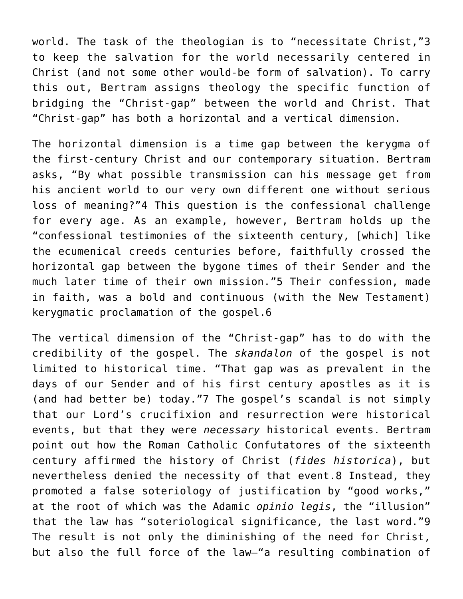world. The task of the theologian is to "necessitate Christ,"3 to keep the salvation for the world necessarily centered in Christ (and not some other would-be form of salvation). To carry this out, Bertram assigns theology the specific function of bridging the "Christ-gap" between the world and Christ. That "Christ-gap" has both a horizontal and a vertical dimension.

The horizontal dimension is a time gap between the kerygma of the first-century Christ and our contemporary situation. Bertram asks, "By what possible transmission can his message get from his ancient world to our very own different one without serious loss of meaning?"4 This question is the confessional challenge for every age. As an example, however, Bertram holds up the "confessional testimonies of the sixteenth century, [which] like the ecumenical creeds centuries before, faithfully crossed the horizontal gap between the bygone times of their Sender and the much later time of their own mission."5 Their confession, made in faith, was a bold and continuous (with the New Testament) kerygmatic proclamation of the gospel.6

The vertical dimension of the "Christ-gap" has to do with the credibility of the gospel. The *skandalon* of the gospel is not limited to historical time. "That gap was as prevalent in the days of our Sender and of his first century apostles as it is (and had better be) today."7 The gospel's scandal is not simply that our Lord's crucifixion and resurrection were historical events, but that they were *necessary* historical events. Bertram point out how the Roman Catholic Confutatores of the sixteenth century affirmed the history of Christ (*fides historica*), but nevertheless denied the necessity of that event.8 Instead, they promoted a false soteriology of justification by "good works," at the root of which was the Adamic *opinio legis*, the "illusion" that the law has "soteriological significance, the last word."9 The result is not only the diminishing of the need for Christ, but also the full force of the law—"a resulting combination of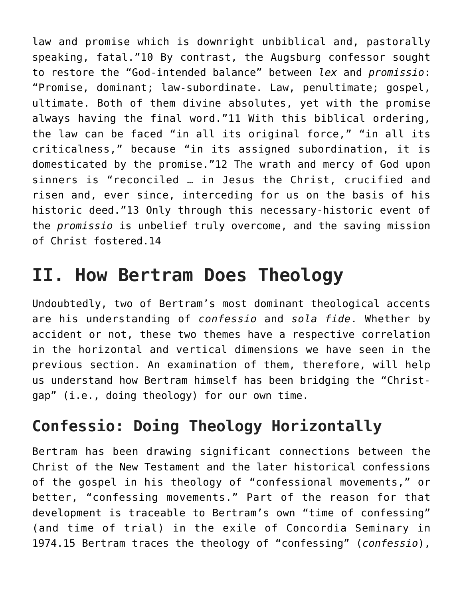law and promise which is downright unbiblical and, pastorally speaking, fatal."10 By contrast, the Augsburg confessor sought to restore the "God-intended balance" between *lex* and *promissio*: "Promise, dominant; law-subordinate. Law, penultimate; gospel, ultimate. Both of them divine absolutes, yet with the promise always having the final word."11 With this biblical ordering, the law can be faced "in all its original force," "in all its criticalness," because "in its assigned subordination, it is domesticated by the promise."12 The wrath and mercy of God upon sinners is "reconciled … in Jesus the Christ, crucified and risen and, ever since, interceding for us on the basis of his historic deed."13 Only through this necessary-historic event of the *promissio* is unbelief truly overcome, and the saving mission of Christ fostered.14

## **II. How Bertram Does Theology**

Undoubtedly, two of Bertram's most dominant theological accents are his understanding of *confessio* and *sola fide*. Whether by accident or not, these two themes have a respective correlation in the horizontal and vertical dimensions we have seen in the previous section. An examination of them, therefore, will help us understand how Bertram himself has been bridging the "Christgap" (i.e., doing theology) for our own time.

### **Confessio: Doing Theology Horizontally**

Bertram has been drawing significant connections between the Christ of the New Testament and the later historical confessions of the gospel in his theology of "confessional movements," or better, "confessing movements." Part of the reason for that development is traceable to Bertram's own "time of confessing" (and time of trial) in the exile of Concordia Seminary in 1974.15 Bertram traces the theology of "confessing" (*confessio*),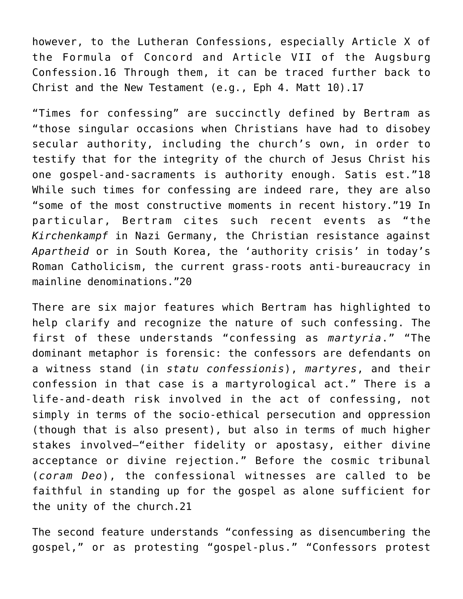however, to the Lutheran Confessions, especially Article X of the Formula of Concord and Article VII of the Augsburg Confession.16 Through them, it can be traced further back to Christ and the New Testament (e.g., Eph 4. Matt 10).17

"Times for confessing" are succinctly defined by Bertram as "those singular occasions when Christians have had to disobey secular authority, including the church's own, in order to testify that for the integrity of the church of Jesus Christ his one gospel-and-sacraments is authority enough. Satis est."18 While such times for confessing are indeed rare, they are also "some of the most constructive moments in recent history."19 In particular, Bertram cites such recent events as "the *Kirchenkampf* in Nazi Germany, the Christian resistance against *Apartheid* or in South Korea, the 'authority crisis' in today's Roman Catholicism, the current grass-roots anti-bureaucracy in mainline denominations."20

There are six major features which Bertram has highlighted to help clarify and recognize the nature of such confessing. The first of these understands "confessing as *martyria*." "The dominant metaphor is forensic: the confessors are defendants on a witness stand (in *statu confessionis*), *martyres*, and their confession in that case is a martyrological act." There is a life-and-death risk involved in the act of confessing, not simply in terms of the socio-ethical persecution and oppression (though that is also present), but also in terms of much higher stakes involved—"either fidelity or apostasy, either divine acceptance or divine rejection." Before the cosmic tribunal (*coram Deo*), the confessional witnesses are called to be faithful in standing up for the gospel as alone sufficient for the unity of the church.21

The second feature understands "confessing as disencumbering the gospel," or as protesting "gospel-plus." "Confessors protest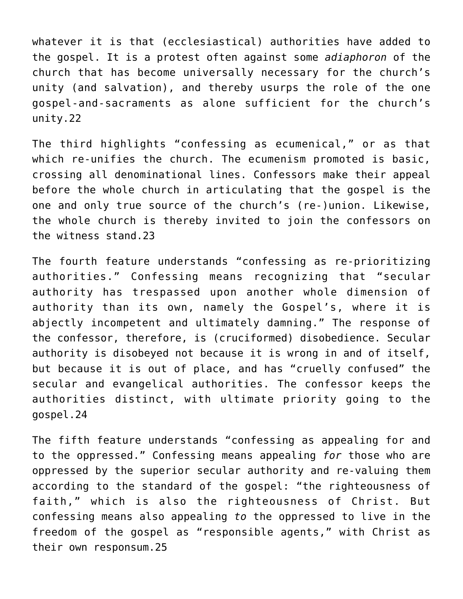whatever it is that (ecclesiastical) authorities have added to the gospel. It is a protest often against some *adiaphoron* of the church that has become universally necessary for the church's unity (and salvation), and thereby usurps the role of the one gospel-and-sacraments as alone sufficient for the church's unity.22

The third highlights "confessing as ecumenical," or as that which re-unifies the church. The ecumenism promoted is basic, crossing all denominational lines. Confessors make their appeal before the whole church in articulating that the gospel is the one and only true source of the church's (re-)union. Likewise, the whole church is thereby invited to join the confessors on the witness stand.23

The fourth feature understands "confessing as re-prioritizing authorities." Confessing means recognizing that "secular authority has trespassed upon another whole dimension of authority than its own, namely the Gospel's, where it is abjectly incompetent and ultimately damning." The response of the confessor, therefore, is (cruciformed) disobedience. Secular authority is disobeyed not because it is wrong in and of itself, but because it is out of place, and has "cruelly confused" the secular and evangelical authorities. The confessor keeps the authorities distinct, with ultimate priority going to the gospel.24

The fifth feature understands "confessing as appealing for and to the oppressed." Confessing means appealing *for* those who are oppressed by the superior secular authority and re-valuing them according to the standard of the gospel: "the righteousness of faith," which is also the righteousness of Christ. But confessing means also appealing *to* the oppressed to live in the freedom of the gospel as "responsible agents," with Christ as their own responsum.25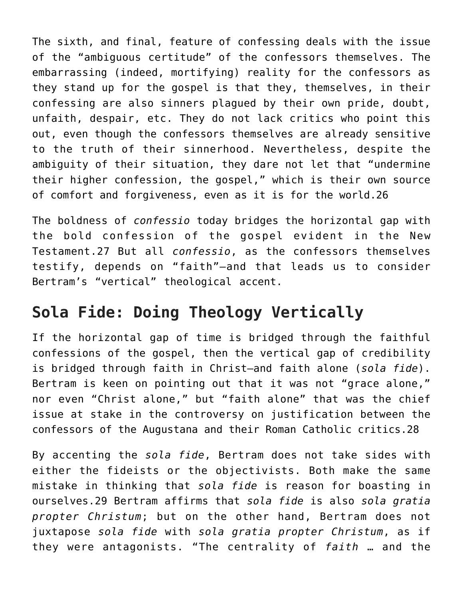The sixth, and final, feature of confessing deals with the issue of the "ambiguous certitude" of the confessors themselves. The embarrassing (indeed, mortifying) reality for the confessors as they stand up for the gospel is that they, themselves, in their confessing are also sinners plagued by their own pride, doubt, unfaith, despair, etc. They do not lack critics who point this out, even though the confessors themselves are already sensitive to the truth of their sinnerhood. Nevertheless, despite the ambiguity of their situation, they dare not let that "undermine their higher confession, the gospel," which is their own source of comfort and forgiveness, even as it is for the world.26

The boldness of *confessio* today bridges the horizontal gap with the bold confession of the gospel evident in the New Testament.27 But all *confessio*, as the confessors themselves testify, depends on "faith"—and that leads us to consider Bertram's "vertical" theological accent.

### **Sola Fide: Doing Theology Vertically**

If the horizontal gap of time is bridged through the faithful confessions of the gospel, then the vertical gap of credibility is bridged through faith in Christ—and faith alone (*sola fide*). Bertram is keen on pointing out that it was not "grace alone," nor even "Christ alone," but "faith alone" that was the chief issue at stake in the controversy on justification between the confessors of the Augustana and their Roman Catholic critics.28

By accenting the *sola fide*, Bertram does not take sides with either the fideists or the objectivists. Both make the same mistake in thinking that *sola fide* is reason for boasting in ourselves.29 Bertram affirms that *sola fide* is also *sola gratia propter Christum*; but on the other hand, Bertram does not juxtapose *sola fide* with *sola gratia propter Christum*, as if they were antagonists. "The centrality of *faith* … and the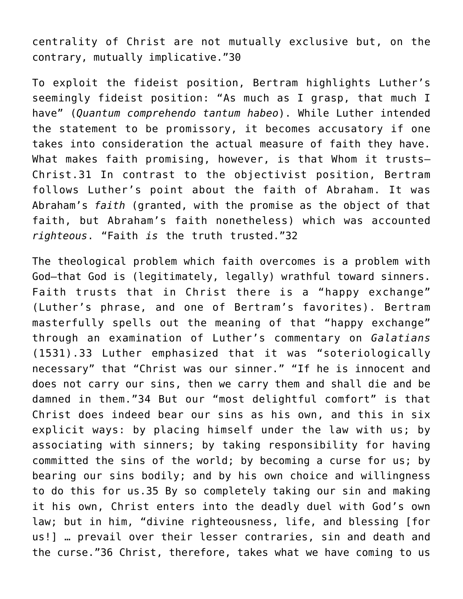centrality of Christ are not mutually exclusive but, on the contrary, mutually implicative."30

To exploit the fideist position, Bertram highlights Luther's seemingly fideist position: "As much as I grasp, that much I have" (*Quantum comprehendo tantum habeo*). While Luther intended the statement to be promissory, it becomes accusatory if one takes into consideration the actual measure of faith they have. What makes faith promising, however, is that Whom it trusts— Christ.31 In contrast to the objectivist position, Bertram follows Luther's point about the faith of Abraham. It was Abraham's *faith* (granted, with the promise as the object of that faith, but Abraham's faith nonetheless) which was accounted *righteous*. "Faith *is* the truth trusted."32

The theological problem which faith overcomes is a problem with God—that God is (legitimately, legally) wrathful toward sinners. Faith trusts that in Christ there is a "happy exchange" (Luther's phrase, and one of Bertram's favorites). Bertram masterfully spells out the meaning of that "happy exchange" through an examination of Luther's commentary on *Galatians* (1531).33 Luther emphasized that it was "soteriologically necessary" that "Christ was our sinner." "If he is innocent and does not carry our sins, then we carry them and shall die and be damned in them."34 But our "most delightful comfort" is that Christ does indeed bear our sins as his own, and this in six explicit ways: by placing himself under the law with us; by associating with sinners; by taking responsibility for having committed the sins of the world; by becoming a curse for us; by bearing our sins bodily; and by his own choice and willingness to do this for us.35 By so completely taking our sin and making it his own, Christ enters into the deadly duel with God's own law; but in him, "divine righteousness, life, and blessing [for us!] … prevail over their lesser contraries, sin and death and the curse."36 Christ, therefore, takes what we have coming to us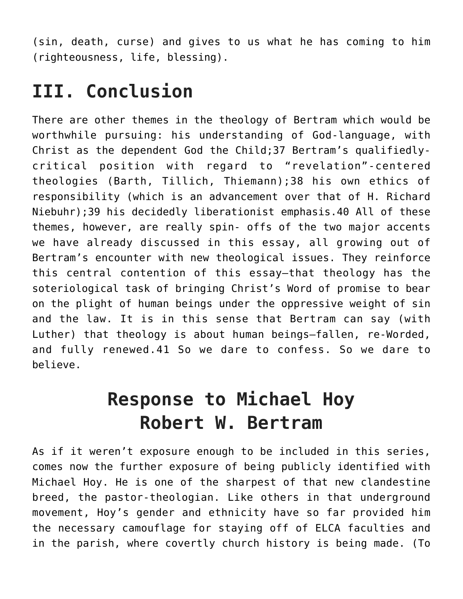(sin, death, curse) and gives to us what he has coming to him (righteousness, life, blessing).

# **III. Conclusion**

There are other themes in the theology of Bertram which would be worthwhile pursuing: his understanding of God-language, with Christ as the dependent God the Child;37 Bertram's qualifiedlycritical position with regard to "revelation"-centered theologies (Barth, Tillich, Thiemann);38 his own ethics of responsibility (which is an advancement over that of H. Richard Niebuhr);39 his decidedly liberationist emphasis.40 All of these themes, however, are really spin- offs of the two major accents we have already discussed in this essay, all growing out of Bertram's encounter with new theological issues. They reinforce this central contention of this essay—that theology has the soteriological task of bringing Christ's Word of promise to bear on the plight of human beings under the oppressive weight of sin and the law. It is in this sense that Bertram can say (with Luther) that theology is about human beings—fallen, re-Worded, and fully renewed.41 So we dare to confess. So we dare to believe.

# **Response to Michael Hoy Robert W. Bertram**

As if it weren't exposure enough to be included in this series, comes now the further exposure of being publicly identified with Michael Hoy. He is one of the sharpest of that new clandestine breed, the pastor-theologian. Like others in that underground movement, Hoy's gender and ethnicity have so far provided him the necessary camouflage for staying off of ELCA faculties and in the parish, where covertly church history is being made. (To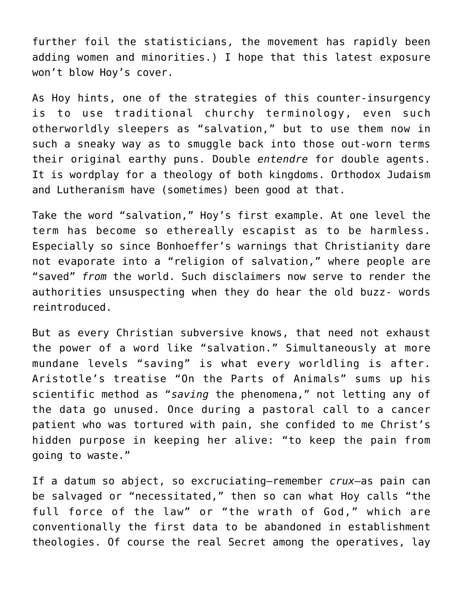further foil the statisticians, the movement has rapidly been adding women and minorities.) I hope that this latest exposure won't blow Hoy's cover.

As Hoy hints, one of the strategies of this counter-insurgency is to use traditional churchy terminology, even such otherworldly sleepers as "salvation," but to use them now in such a sneaky way as to smuggle back into those out-worn terms their original earthy puns. Double *entendre* for double agents. It is wordplay for a theology of both kingdoms. Orthodox Judaism and Lutheranism have (sometimes) been good at that.

Take the word "salvation," Hoy's first example. At one level the term has become so ethereally escapist as to be harmless. Especially so since Bonhoeffer's warnings that Christianity dare not evaporate into a "religion of salvation," where people are "saved" *from* the world. Such disclaimers now serve to render the authorities unsuspecting when they do hear the old buzz- words reintroduced.

But as every Christian subversive knows, that need not exhaust the power of a word like "salvation." Simultaneously at more mundane levels "saving" is what every worldling is after. Aristotle's treatise "On the Parts of Animals" sums up his scientific method as "*saving* the phenomena," not letting any of the data go unused. Once during a pastoral call to a cancer patient who was tortured with pain, she confided to me Christ's hidden purpose in keeping her alive: "to keep the pain from going to waste."

If a datum so abject, so excruciating—remember *crux*—as pain can be salvaged or "necessitated," then so can what Hoy calls "the full force of the law" or "the wrath of God," which are conventionally the first data to be abandoned in establishment theologies. Of course the real Secret among the operatives, lay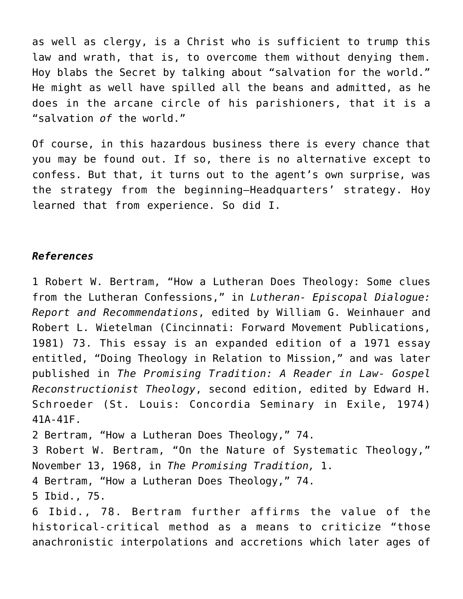as well as clergy, is a Christ who is sufficient to trump this law and wrath, that is, to overcome them without denying them. Hoy blabs the Secret by talking about "salvation for the world." He might as well have spilled all the beans and admitted, as he does in the arcane circle of his parishioners, that it is a "salvation *of* the world."

Of course, in this hazardous business there is every chance that you may be found out. If so, there is no alternative except to confess. But that, it turns out to the agent's own surprise, was the strategy from the beginning—Headquarters' strategy. Hoy learned that from experience. So did I.

#### *References*

1 Robert W. Bertram, "How a Lutheran Does Theology: Some clues from the Lutheran Confessions," in *Lutheran- Episcopal Dialogue: Report and Recommendations*, edited by William G. Weinhauer and Robert L. Wietelman (Cincinnati: Forward Movement Publications, 1981) 73. This essay is an expanded edition of a 1971 essay entitled, "Doing Theology in Relation to Mission," and was later published in *The Promising Tradition: A Reader in Law- Gospel Reconstructionist Theology*, second edition, edited by Edward H. Schroeder (St. Louis: Concordia Seminary in Exile, 1974) 41A-41F.

2 Bertram, "How a Lutheran Does Theology," 74.

3 Robert W. Bertram, "On the Nature of Systematic Theology," November 13, 1968, in *The Promising Tradition,* 1.

4 Bertram, "How a Lutheran Does Theology," 74.

5 Ibid., 75.

6 Ibid., 78. Bertram further affirms the value of the historical-critical method as a means to criticize "those anachronistic interpolations and accretions which later ages of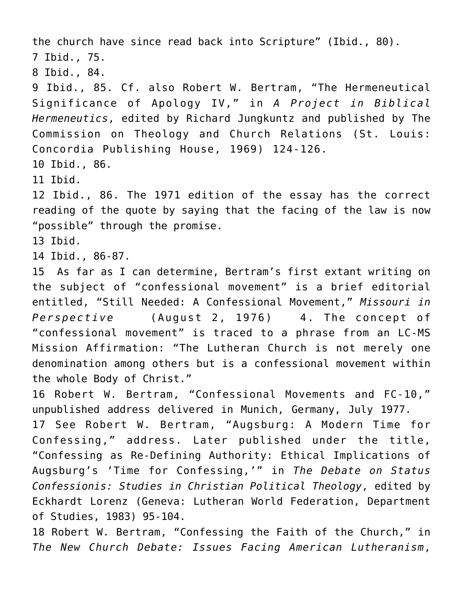the church have since read back into Scripture" (Ibid., 80). 7 Ibid., 75. 8 Ibid., 84. 9 Ibid., 85. Cf. also Robert W. Bertram, "The Hermeneutical Significance of Apology IV," in *A Project in Biblical Hermeneutics*, edited by Richard Jungkuntz and published by The Commission on Theology and Church Relations (St. Louis: Concordia Publishing House, 1969) 124-126. 10 Ibid., 86. 11 Ibid. 12 Ibid., 86. The 1971 edition of the essay has the correct reading of the quote by saying that the facing of the law is now "possible" through the promise. 13 Ibid. 14 Ibid., 86-87. 15 As far as I can determine, Bertram's first extant writing on the subject of "confessional movement" is a brief editorial entitled, "Still Needed: A Confessional Movement," *Missouri in Perspective* (August 2, 1976) 4. The concept of "confessional movement" is traced to a phrase from an LC-MS Mission Affirmation: "The Lutheran Church is not merely one denomination among others but is a confessional movement within the whole Body of Christ." 16 Robert W. Bertram, "Confessional Movements and FC-10," unpublished address delivered in Munich, Germany, July 1977. 17 See Robert W. Bertram, "Augsburg: A Modern Time for Confessing," address. Later published under the title, "Confessing as Re-Defining Authority: Ethical Implications of Augsburg's 'Time for Confessing,'" in *The Debate on Status Confessionis: Studies in Christian Political Theology*, edited by Eckhardt Lorenz (Geneva: Lutheran World Federation, Department of Studies, 1983) 95-104. 18 Robert W. Bertram, "Confessing the Faith of the Church," in

*The New Church Debate: Issues Facing American Lutheranism*,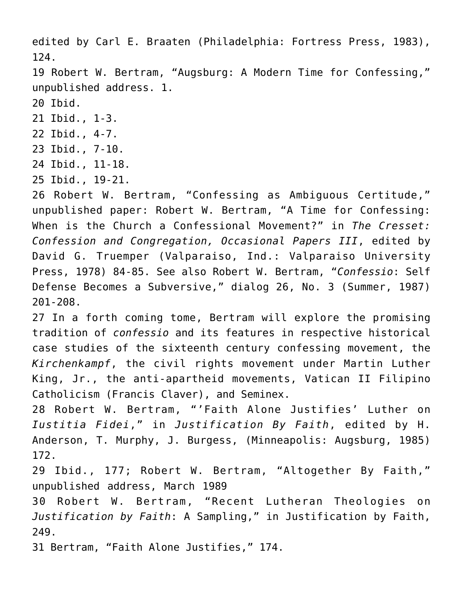edited by Carl E. Braaten (Philadelphia: Fortress Press, 1983), 124.

19 Robert W. Bertram, "Augsburg: A Modern Time for Confessing," unpublished address. 1.

20 Ibid.

- 21 Ibid., 1-3.
- 22 Ibid., 4-7.
- 23 Ibid., 7-10.
- 24 Ibid., 11-18.
- 25 Ibid., 19-21.

26 Robert W. Bertram, "Confessing as Ambiguous Certitude," unpublished paper: Robert W. Bertram, "A Time for Confessing: When is the Church a Confessional Movement?" in *The Cresset: Confession and Congregation, Occasional Papers III*, edited by David G. Truemper (Valparaiso, Ind.: Valparaiso University Press, 1978) 84-85. See also Robert W. Bertram, "*Confessio*: Self Defense Becomes a Subversive," dialog 26, No. 3 (Summer, 1987) 201-208.

27 In a forth coming tome, Bertram will explore the promising tradition of *confessio* and its features in respective historical case studies of the sixteenth century confessing movement, the *Kirchenkampf*, the civil rights movement under Martin Luther King, Jr., the anti-apartheid movements, Vatican II Filipino Catholicism (Francis Claver), and Seminex.

28 Robert W. Bertram, "'Faith Alone Justifies' Luther on *Iustitia Fidei*," in *Justification By Faith*, edited by H. Anderson, T. Murphy, J. Burgess, (Minneapolis: Augsburg, 1985) 172.

29 Ibid., 177; Robert W. Bertram, "Altogether By Faith," unpublished address, March 1989

30 Robert W. Bertram, "Recent Lutheran Theologies on *Justification by Faith*: A Sampling," in Justification by Faith, 249.

31 Bertram, "Faith Alone Justifies," 174.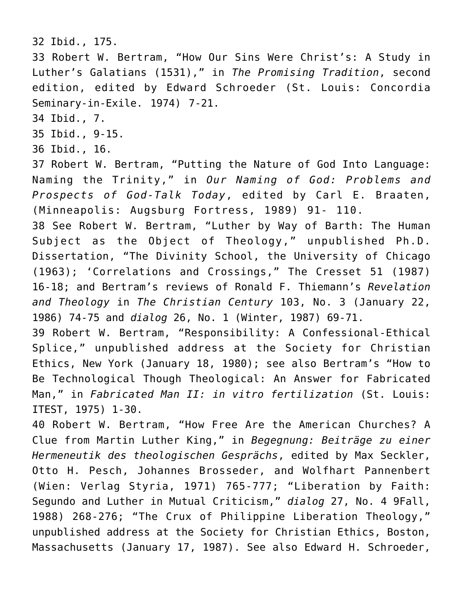#### 32 Ibid., 175.

33 Robert W. Bertram, "How Our Sins Were Christ's: A Study in Luther's Galatians (1531)," in *The Promising Tradition*, second edition, edited by Edward Schroeder (St. Louis: Concordia Seminary-in-Exile. 1974) 7-21.

34 Ibid., 7.

35 Ibid., 9-15.

36 Ibid., 16.

37 Robert W. Bertram, "Putting the Nature of God Into Language: Naming the Trinity," in *Our Naming of God: Problems and Prospects of God-Talk Today*, edited by Carl E. Braaten, (Minneapolis: Augsburg Fortress, 1989) 91- 110.

38 See Robert W. Bertram, "Luther by Way of Barth: The Human Subject as the Object of Theology," unpublished Ph.D. Dissertation, "The Divinity School, the University of Chicago (1963); 'Correlations and Crossings," The Cresset 51 (1987) 16-18; and Bertram's reviews of Ronald F. Thiemann's *Revelation and Theology* in *The Christian Century* 103, No. 3 (January 22, 1986) 74-75 and *dialog* 26, No. 1 (Winter, 1987) 69-71.

39 Robert W. Bertram, "Responsibility: A Confessional-Ethical Splice," unpublished address at the Society for Christian Ethics, New York (January 18, 1980); see also Bertram's "How to Be Technological Though Theological: An Answer for Fabricated Man," in *Fabricated Man II: in vitro fertilization* (St. Louis: ITEST, 1975) 1-30.

40 Robert W. Bertram, "How Free Are the American Churches? A Clue from Martin Luther King," in *Begegnung: Beiträge zu einer Hermeneutik des theologischen Gesprächs*, edited by Max Seckler, Otto H. Pesch, Johannes Brosseder, and Wolfhart Pannenbert (Wien: Verlag Styria, 1971) 765-777; "Liberation by Faith: Segundo and Luther in Mutual Criticism," *dialog* 27, No. 4 9Fall, 1988) 268-276; "The Crux of Philippine Liberation Theology," unpublished address at the Society for Christian Ethics, Boston, Massachusetts (January 17, 1987). See also Edward H. Schroeder,